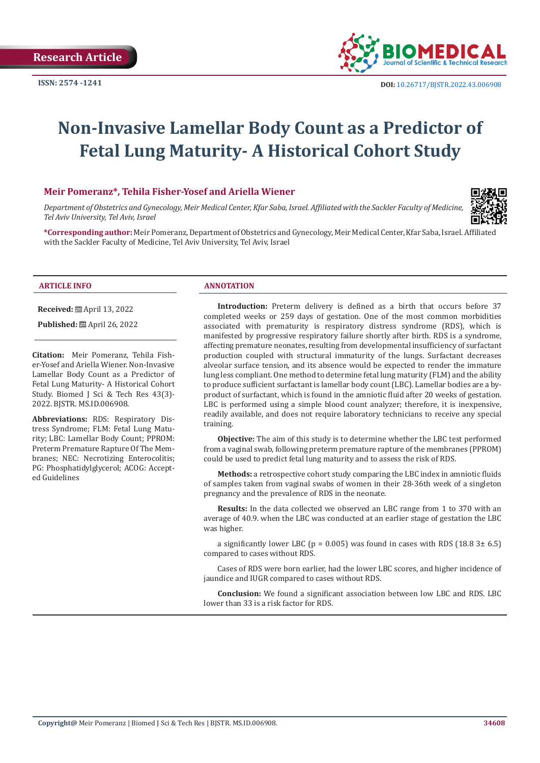

# **Non-Invasive Lamellar Body Count as a Predictor of Fetal Lung Maturity- A Historical Cohort Study**

#### **Meir Pomeranz\*, Tehila Fisher-Yosef and Ariella Wiener**

*Department of Obstetrics and Gynecology, Meir Medical Center, Kfar Saba, Israel. Affiliated with the Sackler Faculty of Medicine, Tel Aviv University, Tel Aviv, Israel*



**\*Corresponding author:** Meir Pomeranz, Department of Obstetrics and Gynecology, Meir Medical Center, Kfar Saba, Israel. Affiliated with the Sackler Faculty of Medicine, Tel Aviv University, Tel Aviv, Israel

**Received:** ■ April 13, 2022

**Published:** ■ April 26, 2022

**Citation:** Meir Pomeranz, Tehila Fisher-Yosef and Ariella Wiener. Non-Invasive Lamellar Body Count as a Predictor of Fetal Lung Maturity- A Historical Cohort Study. Biomed J Sci & Tech Res 43(3)-2022. BJSTR. MS.ID.006908.

**Abbreviations:** RDS: Respiratory Distress Syndrome; FLM: Fetal Lung Maturity; LBC: Lamellar Body Count; PPROM: Preterm Premature Rapture Of The Membranes; NEC: Necrotizing Enterocolitis; PG: Phosphatidylglycerol; ACOG: Accepted Guidelines

#### **ARTICLE INFO ANNOTATION**

**Introduction:** Preterm delivery is defined as a birth that occurs before 37 completed weeks or 259 days of gestation. One of the most common morbidities associated with prematurity is respiratory distress syndrome (RDS), which is manifested by progressive respiratory failure shortly after birth. RDS is a syndrome, affecting premature neonates, resulting from developmental insufficiency of surfactant production coupled with structural immaturity of the lungs. Surfactant decreases alveolar surface tension, and its absence would be expected to render the immature lung less compliant. One method to determine fetal lung maturity (FLM) and the ability to produce sufficient surfactant is lamellar body count (LBC). Lamellar bodies are a byproduct of surfactant, which is found in the amniotic fluid after 20 weeks of gestation. LBC is performed using a simple blood count analyzer; therefore, it is inexpensive, readily available, and does not require laboratory technicians to receive any special training.

**Objective:** The aim of this study is to determine whether the LBC test performed from a vaginal swab, following preterm premature rapture of the membranes (PPROM) could be used to predict fetal lung maturity and to assess the risk of RDS.

**Methods:** a retrospective cohort study comparing the LBC index in amniotic fluids of samples taken from vaginal swabs of women in their 28-36th week of a singleton pregnancy and the prevalence of RDS in the neonate.

**Results:** In the data collected we observed an LBC range from 1 to 370 with an average of 40.9. when the LBC was conducted at an earlier stage of gestation the LBC was higher.

a significantly lower LBC ( $p = 0.005$ ) was found in cases with RDS (18.8 3± 6.5) compared to cases without RDS.

Cases of RDS were born earlier, had the lower LBC scores, and higher incidence of jaundice and IUGR compared to cases without RDS.

**Conclusion:** We found a significant association between low LBC and RDS. LBC lower than 33 is a risk factor for RDS.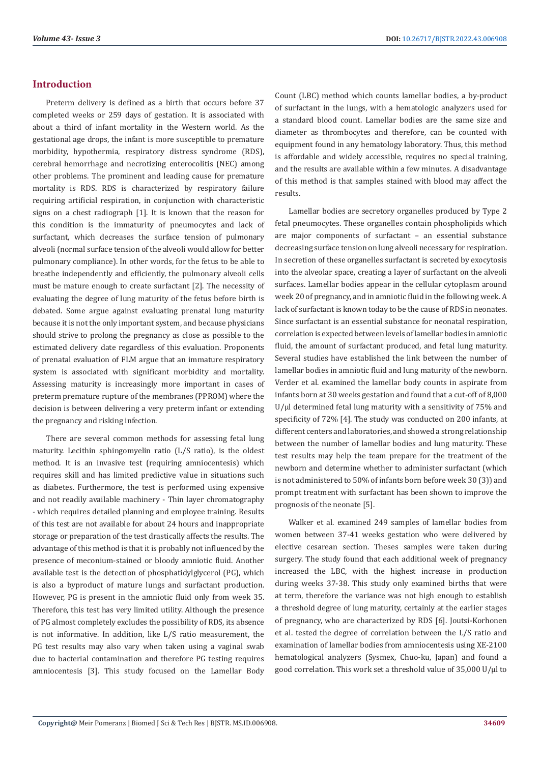# **Introduction**

Preterm delivery is defined as a birth that occurs before 37 completed weeks or 259 days of gestation. It is associated with about a third of infant mortality in the Western world. As the gestational age drops, the infant is more susceptible to premature morbidity, hypothermia, respiratory distress syndrome (RDS), cerebral hemorrhage and necrotizing enterocolitis (NEC) among other problems. The prominent and leading cause for premature mortality is RDS. RDS is characterized by respiratory failure requiring artificial respiration, in conjunction with characteristic signs on a chest radiograph [1]. It is known that the reason for this condition is the immaturity of pneumocytes and lack of surfactant, which decreases the surface tension of pulmonary alveoli (normal surface tension of the alveoli would allow for better pulmonary compliance). In other words, for the fetus to be able to breathe independently and efficiently, the pulmonary alveoli cells must be mature enough to create surfactant [2]. The necessity of evaluating the degree of lung maturity of the fetus before birth is debated. Some argue against evaluating prenatal lung maturity because it is not the only important system, and because physicians should strive to prolong the pregnancy as close as possible to the estimated delivery date regardless of this evaluation. Proponents of prenatal evaluation of FLM argue that an immature respiratory system is associated with significant morbidity and mortality. Assessing maturity is increasingly more important in cases of preterm premature rupture of the membranes (PPROM) where the decision is between delivering a very preterm infant or extending the pregnancy and risking infection.

There are several common methods for assessing fetal lung maturity. Lecithin sphingomyelin ratio (L/S ratio), is the oldest method. It is an invasive test (requiring amniocentesis) which requires skill and has limited predictive value in situations such as diabetes. Furthermore, the test is performed using expensive and not readily available machinery - Thin layer chromatography - which requires detailed planning and employee training. Results of this test are not available for about 24 hours and inappropriate storage or preparation of the test drastically affects the results. The advantage of this method is that it is probably not influenced by the presence of meconium-stained or bloody amniotic fluid. Another available test is the detection of phosphatidylglycerol (PG), which is also a byproduct of mature lungs and surfactant production. However, PG is present in the amniotic fluid only from week 35. Therefore, this test has very limited utility. Although the presence of PG almost completely excludes the possibility of RDS, its absence is not informative. In addition, like L/S ratio measurement, the PG test results may also vary when taken using a vaginal swab due to bacterial contamination and therefore PG testing requires amniocentesis [3]. This study focused on the Lamellar Body

Count (LBC) method which counts lamellar bodies, a by-product of surfactant in the lungs, with a hematologic analyzers used for a standard blood count. Lamellar bodies are the same size and diameter as thrombocytes and therefore, can be counted with equipment found in any hematology laboratory. Thus, this method is affordable and widely accessible, requires no special training, and the results are available within a few minutes. A disadvantage of this method is that samples stained with blood may affect the results.

Lamellar bodies are secretory organelles produced by Type 2 fetal pneumocytes. These organelles contain phospholipids which are major components of surfactant – an essential substance decreasing surface tension on lung alveoli necessary for respiration. In secretion of these organelles surfactant is secreted by exocytosis into the alveolar space, creating a layer of surfactant on the alveoli surfaces. Lamellar bodies appear in the cellular cytoplasm around week 20 of pregnancy, and in amniotic fluid in the following week. A lack of surfactant is known today to be the cause of RDS in neonates. Since surfactant is an essential substance for neonatal respiration, correlation is expected between levels of lamellar bodies in amniotic fluid, the amount of surfactant produced, and fetal lung maturity. Several studies have established the link between the number of lamellar bodies in amniotic fluid and lung maturity of the newborn. Verder et al. examined the lamellar body counts in aspirate from infants born at 30 weeks gestation and found that a cut-off of 8,000 U/µl determined fetal lung maturity with a sensitivity of 75% and specificity of 72% [4]. The study was conducted on 200 infants, at different centers and laboratories, and showed a strong relationship between the number of lamellar bodies and lung maturity. These test results may help the team prepare for the treatment of the newborn and determine whether to administer surfactant (which is not administered to 50% of infants born before week 30 (3)) and prompt treatment with surfactant has been shown to improve the prognosis of the neonate [5].

Walker et al. examined 249 samples of lamellar bodies from women between 37-41 weeks gestation who were delivered by elective cesarean section. Theses samples were taken during surgery. The study found that each additional week of pregnancy increased the LBC, with the highest increase in production during weeks 37-38. This study only examined births that were at term, therefore the variance was not high enough to establish a threshold degree of lung maturity, certainly at the earlier stages of pregnancy, who are characterized by RDS [6]. Joutsi-Korhonen et al. tested the degree of correlation between the L/S ratio and examination of lamellar bodies from amniocentesis using XE-2100 hematological analyzers (Sysmex, Chuo-ku, Japan) and found a good correlation. This work set a threshold value of 35,000 U/µl to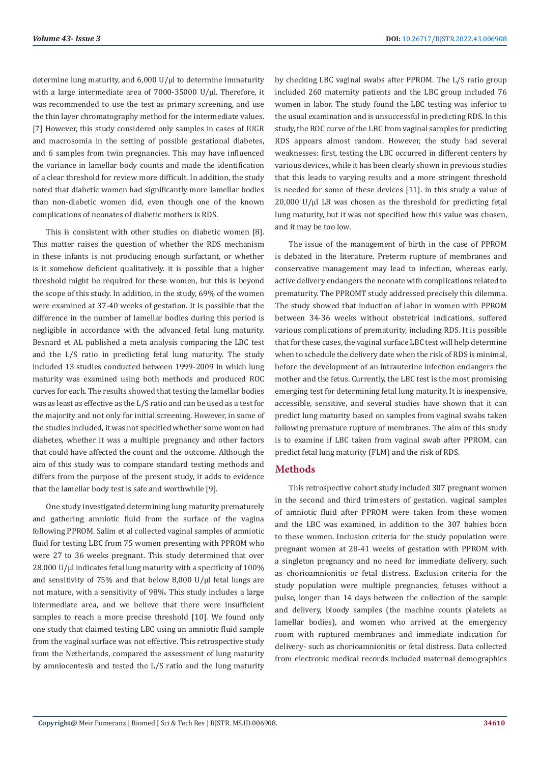determine lung maturity, and 6,000 U/µl to determine immaturity with a large intermediate area of 7000-35000 U/µl. Therefore, it was recommended to use the test as primary screening, and use the thin layer chromatography method for the intermediate values. [7] However, this study considered only samples in cases of IUGR and macrosomia in the setting of possible gestational diabetes, and 6 samples from twin pregnancies. This may have influenced the variance in lamellar body counts and made the identification of a clear threshold for review more difficult. In addition, the study noted that diabetic women had significantly more lamellar bodies than non-diabetic women did, even though one of the known complications of neonates of diabetic mothers is RDS.

This is consistent with other studies on diabetic women [8]. This matter raises the question of whether the RDS mechanism in these infants is not producing enough surfactant, or whether is it somehow deficient qualitatively. it is possible that a higher threshold might be required for these women, but this is beyond the scope of this study. In addition, in the study, 69% of the women were examined at 37-40 weeks of gestation. It is possible that the difference in the number of lamellar bodies during this period is negligible in accordance with the advanced fetal lung maturity. Besnard et AL published a meta analysis comparing the LBC test and the L/S ratio in predicting fetal lung maturity. The study included 13 studies conducted between 1999-2009 in which lung maturity was examined using both methods and produced ROC curves for each. The results showed that testing the lamellar bodies was as least as effective as the L/S ratio and can be used as a test for the majority and not only for initial screening. However, in some of the studies included, it was not specified whether some women had diabetes, whether it was a multiple pregnancy and other factors that could have affected the count and the outcome. Although the aim of this study was to compare standard testing methods and differs from the purpose of the present study, it adds to evidence that the lamellar body test is safe and worthwhile [9].

One study investigated determining lung maturity prematurely and gathering amniotic fluid from the surface of the vagina following PPROM. Salim et al collected vaginal samples of amniotic fluid for testing LBC from 75 women presenting with PPROM who were 27 to 36 weeks pregnant. This study determined that over 28,000 U/µl indicates fetal lung maturity with a specificity of 100% and sensitivity of 75% and that below 8,000 U/ $\mu$ l fetal lungs are not mature, with a sensitivity of 98%. This study includes a large intermediate area, and we believe that there were insufficient samples to reach a more precise threshold [10]. We found only one study that claimed testing LBC using an amniotic fluid sample from the vaginal surface was not effective. This retrospective study from the Netherlands, compared the assessment of lung maturity by amniocentesis and tested the L/S ratio and the lung maturity

by checking LBC vaginal swabs after PPROM. The L/S ratio group included 260 maternity patients and the LBC group included 76 women in labor. The study found the LBC testing was inferior to the usual examination and is unsuccessful in predicting RDS. In this study, the ROC curve of the LBC from vaginal samples for predicting RDS appears almost random. However, the study had several weaknesses: first, testing the LBC occurred in different centers by various devices, while it has been clearly shown in previous studies that this leads to varying results and a more stringent threshold is needed for some of these devices [11]. in this study a value of  $20,000$  U/ $\mu$ l LB was chosen as the threshold for predicting fetal lung maturity, but it was not specified how this value was chosen, and it may be too low.

The issue of the management of birth in the case of PPROM is debated in the literature. Preterm rupture of membranes and conservative management may lead to infection, whereas early, active delivery endangers the neonate with complications related to prematurity. The PPROMT study addressed precisely this dilemma. The study showed that induction of labor in women with PPROM between 34-36 weeks without obstetrical indications, suffered various complications of prematurity, including RDS. It is possible that for these cases, the vaginal surface LBC test will help determine when to schedule the delivery date when the risk of RDS is minimal, before the development of an intrauterine infection endangers the mother and the fetus. Currently, the LBC test is the most promising emerging test for determining fetal lung maturity. It is inexpensive, accessible, sensitive, and several studies have shown that it can predict lung maturity based on samples from vaginal swabs taken following premature rupture of membranes. The aim of this study is to examine if LBC taken from vaginal swab after PPROM, can predict fetal lung maturity (FLM) and the risk of RDS.

# **Methods**

This retrospective cohort study included 307 pregnant women in the second and third trimesters of gestation. vaginal samples of amniotic fluid after PPROM were taken from these women and the LBC was examined, in addition to the 307 babies born to these women. Inclusion criteria for the study population were pregnant women at 28-41 weeks of gestation with PPROM with a singleton pregnancy and no need for immediate delivery, such as chorioamnionitis or fetal distress. Exclusion criteria for the study population were multiple pregnancies, fetuses without a pulse, longer than 14 days between the collection of the sample and delivery, bloody samples (the machine counts platelets as lamellar bodies), and women who arrived at the emergency room with ruptured membranes and immediate indication for delivery- such as chorioamnionitis or fetal distress. Data collected from electronic medical records included maternal demographics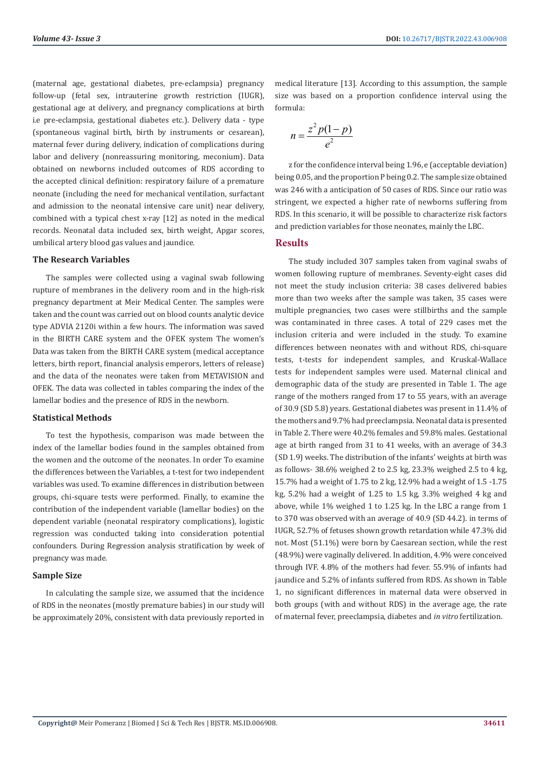(maternal age, gestational diabetes, pre-eclampsia) pregnancy follow-up (fetal sex, intrauterine growth restriction (IUGR), gestational age at delivery, and pregnancy complications at birth i.e pre-eclampsia, gestational diabetes etc.). Delivery data - type (spontaneous vaginal birth, birth by instruments or cesarean), maternal fever during delivery, indication of complications during labor and delivery (nonreassuring monitoring, meconium). Data obtained on newborns included outcomes of RDS according to the accepted clinical definition: respiratory failure of a premature neonate (including the need for mechanical ventilation, surfactant and admission to the neonatal intensive care unit) near delivery, combined with a typical chest x-ray [12] as noted in the medical records. Neonatal data included sex, birth weight, Apgar scores, umbilical artery blood gas values and jaundice.

#### **The Research Variables**

The samples were collected using a vaginal swab following rupture of membranes in the delivery room and in the high-risk pregnancy department at Meir Medical Center. The samples were taken and the count was carried out on blood counts analytic device type ADVIA 2120i within a few hours. The information was saved in the BIRTH CARE system and the OFEK system The women's Data was taken from the BIRTH CARE system (medical acceptance letters, birth report, financial analysis emperors, letters of release) and the data of the neonates were taken from METAVISION and OFEK. The data was collected in tables comparing the index of the lamellar bodies and the presence of RDS in the newborn.

#### **Statistical Methods**

To test the hypothesis, comparison was made between the index of the lamellar bodies found in the samples obtained from the women and the outcome of the neonates. In order To examine the differences between the Variables, a t-test for two independent variables was used. To examine differences in distribution between groups, chi-square tests were performed. Finally, to examine the contribution of the independent variable (lamellar bodies) on the dependent variable (neonatal respiratory complications), logistic regression was conducted taking into consideration potential confounders. During Regression analysis stratification by week of pregnancy was made.

#### **Sample Size**

In calculating the sample size, we assumed that the incidence of RDS in the neonates (mostly premature babies) in our study will be approximately 20%, consistent with data previously reported in medical literature [13]. According to this assumption, the sample size was based on a proportion confidence interval using the formula:

$$
n=\frac{z^2p(1-p)}{e^2}
$$

z for the confidence interval being 1.96, e (acceptable deviation) being 0.05, and the proportion P being 0.2. The sample size obtained was 246 with a anticipation of 50 cases of RDS. Since our ratio was stringent, we expected a higher rate of newborns suffering from RDS. In this scenario, it will be possible to characterize risk factors and prediction variables for those neonates, mainly the LBC.

### **Results**

The study included 307 samples taken from vaginal swabs of women following rupture of membranes. Seventy-eight cases did not meet the study inclusion criteria: 38 cases delivered babies more than two weeks after the sample was taken, 35 cases were multiple pregnancies, two cases were stillbirths and the sample was contaminated in three cases. A total of 229 cases met the inclusion criteria and were included in the study. To examine differences between neonates with and without RDS, chi-square tests, t-tests for independent samples, and Kruskal-Wallace tests for independent samples were used. Maternal clinical and demographic data of the study are presented in Table 1. The age range of the mothers ranged from 17 to 55 years, with an average of 30.9 (SD 5.8) years. Gestational diabetes was present in 11.4% of the mothers and 9.7% had preeclampsia. Neonatal data is presented in Table 2. There were 40.2% females and 59.8% males. Gestational age at birth ranged from 31 to 41 weeks, with an average of 34.3 (SD 1.9) weeks. The distribution of the infants' weights at birth was as follows- 38.6% weighed 2 to 2.5 kg, 23.3% weighed 2.5 to 4 kg, 15.7% had a weight of 1.75 to 2 kg, 12.9% had a weight of 1.5 -1.75 kg, 5.2% had a weight of 1.25 to 1.5 kg, 3.3% weighed 4 kg and above, while 1% weighed 1 to 1.25 kg. In the LBC a range from 1 to 370 was observed with an average of 40.9 (SD 44.2). in terms of IUGR, 52.7% of fetuses shown growth retardation while 47.3% did not. Most (51.1%) were born by Caesarean section, while the rest (48.9%) were vaginally delivered. In addition, 4.9% were conceived through IVF. 4.8% of the mothers had fever. 55.9% of infants had jaundice and 5.2% of infants suffered from RDS. As shown in Table 1, no significant differences in maternal data were observed in both groups (with and without RDS) in the average age, the rate of maternal fever, preeclampsia, diabetes and *in vitro* fertilization.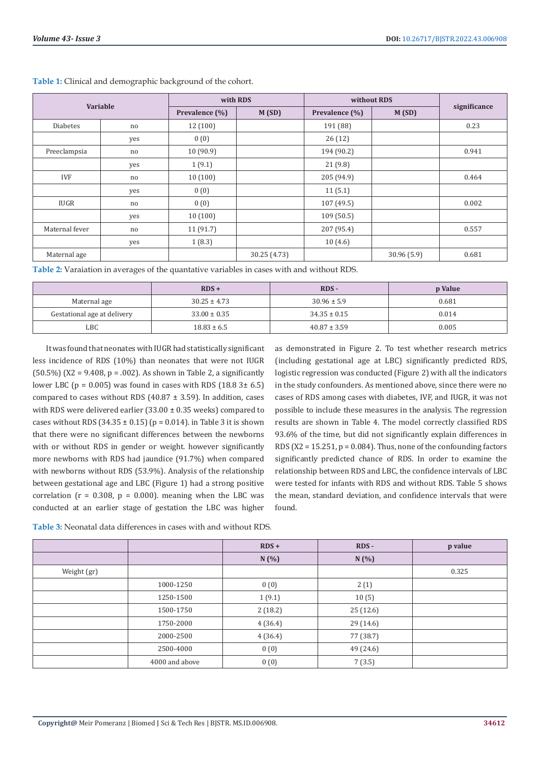| Variable        |     | with RDS       |              | without RDS    |            |              |
|-----------------|-----|----------------|--------------|----------------|------------|--------------|
|                 |     | Prevalence (%) | M(SD)        | Prevalence (%) | M(SD)      | significance |
| <b>Diabetes</b> | no  | 12(100)        |              | 191 (88)       |            | 0.23         |
|                 | yes | 0(0)           |              | 26(12)         |            |              |
| Preeclampsia    | no  | 10(90.9)       |              | 194 (90.2)     |            | 0.941        |
|                 | yes | 1(9.1)         |              | 21(9.8)        |            |              |
| <b>IVF</b>      | no  | 10(100)        |              | 205 (94.9)     |            | 0.464        |
|                 | yes | 0(0)           |              | 11(5.1)        |            |              |
| <b>IUGR</b>     | no. | 0(0)           |              | 107(49.5)      |            | 0.002        |
|                 | yes | 10(100)        |              | 109(50.5)      |            |              |
| Maternal fever  | no  | 11(91.7)       |              | 207 (95.4)     |            | 0.557        |
|                 | yes | 1(8.3)         |              | 10(4.6)        |            |              |
| Maternal age    |     |                | 30.25 (4.73) |                | 30.96(5.9) | 0.681        |

**Table 1:** Clinical and demographic background of the cohort.

**Table 2:** Varaiation in averages of the quantative variables in cases with and without RDS.

|                             | $RDS +$          | RDS -            | p Value |
|-----------------------------|------------------|------------------|---------|
| Maternal age                | $30.25 \pm 4.73$ | $30.96 \pm 5.9$  | 0.681   |
| Gestational age at delivery | $33.00 \pm 0.35$ | $34.35 \pm 0.15$ | 0.014   |
| LBC                         | $18.83 \pm 6.5$  | $40.87 \pm 3.59$ | 0.005   |

It was found that neonates with IUGR had statistically significant less incidence of RDS (10%) than neonates that were not IUGR (50.5%) ( $X2 = 9.408$ ,  $p = .002$ ). As shown in Table 2, a significantly lower LBC ( $p = 0.005$ ) was found in cases with RDS (18.8 3± 6.5) compared to cases without RDS  $(40.87 \pm 3.59)$ . In addition, cases with RDS were delivered earlier (33.00 ± 0.35 weeks) compared to cases without RDS (34.35  $\pm$  0.15) (p = 0.014). in Table 3 it is shown that there were no significant differences between the newborns with or without RDS in gender or weight. however significantly more newborns with RDS had jaundice (91.7%) when compared with newborns without RDS (53.9%). Analysis of the relationship between gestational age and LBC (Figure 1) had a strong positive correlation ( $r = 0.308$ ,  $p = 0.000$ ). meaning when the LBC was conducted at an earlier stage of gestation the LBC was higher

as demonstrated in Figure 2. To test whether research metrics (including gestational age at LBC) significantly predicted RDS, logistic regression was conducted (Figure 2) with all the indicators in the study confounders. As mentioned above, since there were no cases of RDS among cases with diabetes, IVF, and IUGR, it was not possible to include these measures in the analysis. The regression results are shown in Table 4. The model correctly classified RDS 93.6% of the time, but did not significantly explain differences in RDS ( $X2 = 15.251$ ,  $p = 0.084$ ). Thus, none of the confounding factors significantly predicted chance of RDS. In order to examine the relationship between RDS and LBC, the confidence intervals of LBC were tested for infants with RDS and without RDS. Table 5 shows the mean, standard deviation, and confidence intervals that were found.

|             |                | $RDS +$ | RDS-      | p value |
|-------------|----------------|---------|-----------|---------|
|             |                | N(%)    | N(%)      |         |
| Weight (gr) |                |         |           | 0.325   |
|             | 1000-1250      | 0(0)    | 2(1)      |         |
|             | 1250-1500      | 1(9.1)  | 10(5)     |         |
|             | 1500-1750      | 2(18.2) | 25(12.6)  |         |
|             | 1750-2000      | 4(36.4) | 29 (14.6) |         |
|             | 2000-2500      | 4(36.4) | 77 (38.7) |         |
|             | 2500-4000      | 0(0)    | 49 (24.6) |         |
|             | 4000 and above | 0(0)    | 7(3.5)    |         |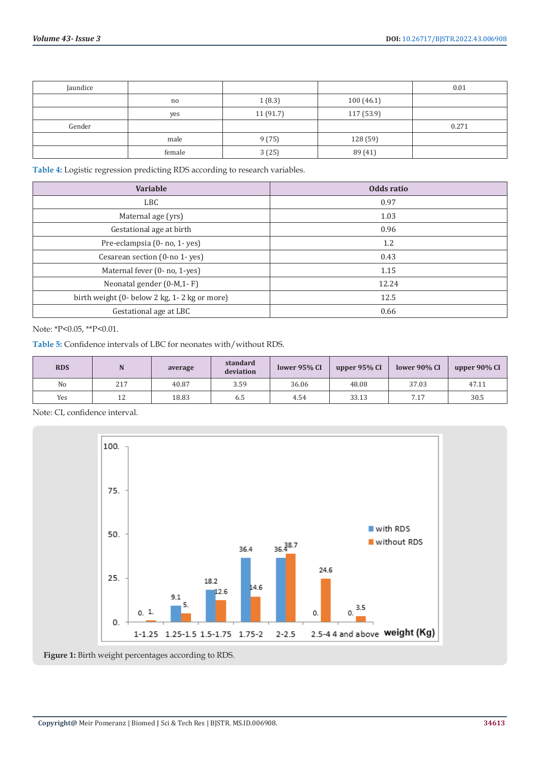| Jaundice |        |          |            | 0.01  |
|----------|--------|----------|------------|-------|
|          | no.    | 1(8.3)   | 100(46.1)  |       |
|          | yes    | 11(91.7) | 117 (53.9) |       |
| Gender   |        |          |            | 0.271 |
|          | male   | 9(75)    | 128 (59)   |       |
|          | female | 3(25)    | 89 (41)    |       |

**Table 4:** Logistic regression predicting RDS according to research variables.

| <b>Variable</b>                              | Odds ratio |
|----------------------------------------------|------------|
| <b>LBC</b>                                   | 0.97       |
| Maternal age (yrs)                           | 1.03       |
| Gestational age at birth                     | 0.96       |
| Pre-eclampsia (0- no, 1- yes)                | 1.2        |
| Cesarean section (0-no 1-yes)                | 0.43       |
| Maternal fever (0- no, 1-yes)                | 1.15       |
| Neonatal gender $(0-M,1-F)$                  | 12.24      |
| birth weight (0- below 2 kg, 1-2 kg or more) | 12.5       |
| Gestational age at LBC                       | 0.66       |

Note: \*P<0.05, \*\*P<0.01.

**Table 5:** Confidence intervals of LBC for neonates with/without RDS.

| <b>RDS</b>     |     | average | standard<br>deviation | lower 95% CI | upper 95% CI | lower 90% CI | upper 90% CI |
|----------------|-----|---------|-----------------------|--------------|--------------|--------------|--------------|
| N <sub>o</sub> | 217 | 40.87   | 3.59                  | 36.06        | 48.08        | 37.03        | 47.11        |
| Yes            | 12  | 18.83   | 6.5                   | 4.54         | 33.13        | 7.17         | 30.5         |

Note: CI, confidence interval.



**Figure 1:** Birth weight percentages according to RDS.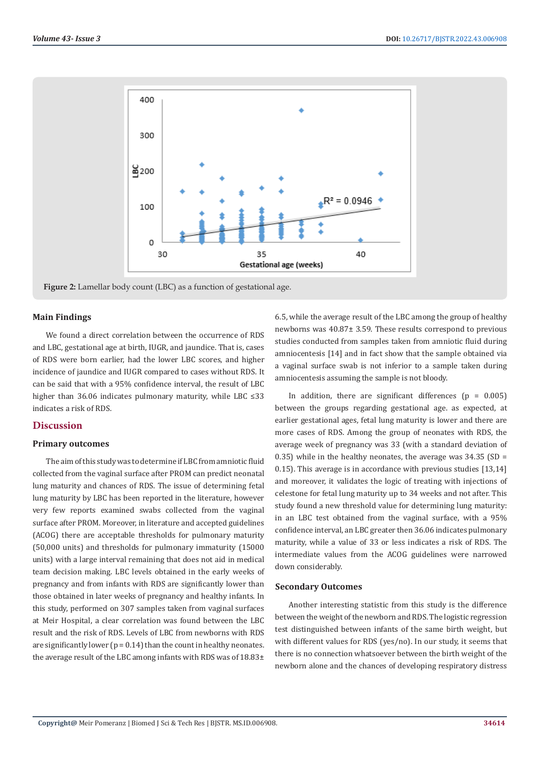

**Figure 2:** Lamellar body count (LBC) as a function of gestational age.

#### **Main Findings**

We found a direct correlation between the occurrence of RDS and LBC, gestational age at birth, IUGR, and jaundice. That is, cases of RDS were born earlier, had the lower LBC scores, and higher incidence of jaundice and IUGR compared to cases without RDS. It can be said that with a 95% confidence interval, the result of LBC higher than 36.06 indicates pulmonary maturity, while LBC ≤33 indicates a risk of RDS.

# **Discussion**

#### **Primary outcomes**

The aim of this study was to determine if LBC from amniotic fluid collected from the vaginal surface after PROM can predict neonatal lung maturity and chances of RDS. The issue of determining fetal lung maturity by LBC has been reported in the literature, however very few reports examined swabs collected from the vaginal surface after PROM. Moreover, in literature and accepted guidelines (ACOG) there are acceptable thresholds for pulmonary maturity (50,000 units) and thresholds for pulmonary immaturity (15000 units) with a large interval remaining that does not aid in medical team decision making. LBC levels obtained in the early weeks of pregnancy and from infants with RDS are significantly lower than those obtained in later weeks of pregnancy and healthy infants. In this study, performed on 307 samples taken from vaginal surfaces at Meir Hospital, a clear correlation was found between the LBC result and the risk of RDS. Levels of LBC from newborns with RDS are significantly lower ( $p = 0.14$ ) than the count in healthy neonates. the average result of the LBC among infants with RDS was of 18.83±

6.5, while the average result of the LBC among the group of healthy newborns was 40.87± 3.59. These results correspond to previous studies conducted from samples taken from amniotic fluid during amniocentesis [14] and in fact show that the sample obtained via a vaginal surface swab is not inferior to a sample taken during amniocentesis assuming the sample is not bloody.

In addition, there are significant differences ( $p = 0.005$ ) between the groups regarding gestational age. as expected, at earlier gestational ages, fetal lung maturity is lower and there are more cases of RDS. Among the group of neonates with RDS, the average week of pregnancy was 33 (with a standard deviation of 0.35) while in the healthy neonates, the average was  $34.35$  (SD = 0.15). This average is in accordance with previous studies [13,14] and moreover, it validates the logic of treating with injections of celestone for fetal lung maturity up to 34 weeks and not after. This study found a new threshold value for determining lung maturity: in an LBC test obtained from the vaginal surface, with a 95% confidence interval, an LBC greater then 36.06 indicates pulmonary maturity, while a value of 33 or less indicates a risk of RDS. The intermediate values from the ACOG guidelines were narrowed down considerably.

#### **Secondary Outcomes**

Another interesting statistic from this study is the difference between the weight of the newborn and RDS. The logistic regression test distinguished between infants of the same birth weight, but with different values for RDS (yes/no). In our study, it seems that there is no connection whatsoever between the birth weight of the newborn alone and the chances of developing respiratory distress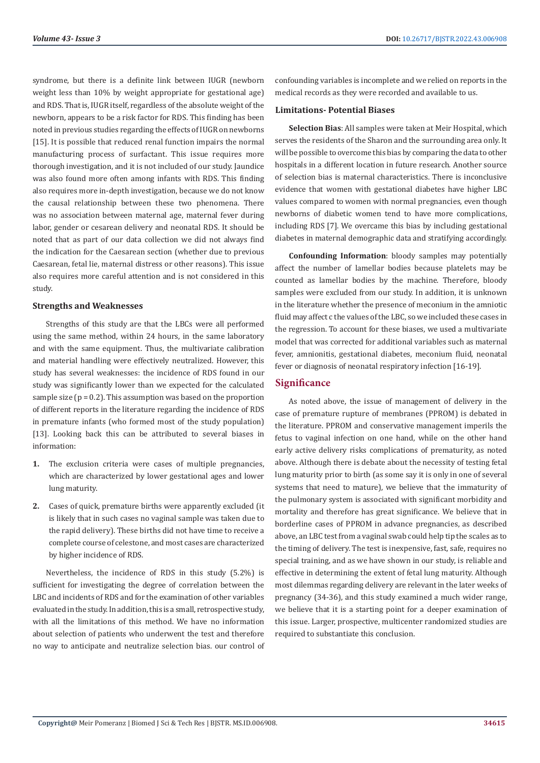syndrome, but there is a definite link between IUGR (newborn weight less than 10% by weight appropriate for gestational age) and RDS. That is, IUGR itself, regardless of the absolute weight of the newborn, appears to be a risk factor for RDS. This finding has been noted in previous studies regarding the effects of IUGR on newborns [15]. It is possible that reduced renal function impairs the normal manufacturing process of surfactant. This issue requires more thorough investigation, and it is not included of our study. Jaundice was also found more often among infants with RDS. This finding also requires more in-depth investigation, because we do not know the causal relationship between these two phenomena. There was no association between maternal age, maternal fever during labor, gender or cesarean delivery and neonatal RDS. It should be noted that as part of our data collection we did not always find the indication for the Caesarean section (whether due to previous Caesarean, fetal lie, maternal distress or other reasons). This issue also requires more careful attention and is not considered in this study.

### **Strengths and Weaknesses**

Strengths of this study are that the LBCs were all performed using the same method, within 24 hours, in the same laboratory and with the same equipment. Thus, the multivariate calibration and material handling were effectively neutralized. However, this study has several weaknesses: the incidence of RDS found in our study was significantly lower than we expected for the calculated sample size  $(p = 0.2)$ . This assumption was based on the proportion of different reports in the literature regarding the incidence of RDS in premature infants (who formed most of the study population) [13]. Looking back this can be attributed to several biases in information:

- **1.** The exclusion criteria were cases of multiple pregnancies, which are characterized by lower gestational ages and lower lung maturity.
- **2.** Cases of quick, premature births were apparently excluded (it is likely that in such cases no vaginal sample was taken due to the rapid delivery). These births did not have time to receive a complete course of celestone, and most cases are characterized by higher incidence of RDS.

Nevertheless, the incidence of RDS in this study (5.2%) is sufficient for investigating the degree of correlation between the LBC and incidents of RDS and for the examination of other variables evaluated in the study. In addition, this is a small, retrospective study, with all the limitations of this method. We have no information about selection of patients who underwent the test and therefore no way to anticipate and neutralize selection bias. our control of confounding variables is incomplete and we relied on reports in the medical records as they were recorded and available to us.

### **Limitations- Potential Biases**

**Selection Bias**: All samples were taken at Meir Hospital, which serves the residents of the Sharon and the surrounding area only. It will be possible to overcome this bias by comparing the data to other hospitals in a different location in future research. Another source of selection bias is maternal characteristics. There is inconclusive evidence that women with gestational diabetes have higher LBC values compared to women with normal pregnancies, even though newborns of diabetic women tend to have more complications, including RDS [7]. We overcame this bias by including gestational diabetes in maternal demographic data and stratifying accordingly.

**Confounding Information**: bloody samples may potentially affect the number of lamellar bodies because platelets may be counted as lamellar bodies by the machine. Therefore, bloody samples were excluded from our study. In addition, it is unknown in the literature whether the presence of meconium in the amniotic fluid may affect c the values of the LBC, so we included these cases in the regression. To account for these biases, we used a multivariate model that was corrected for additional variables such as maternal fever, amnionitis, gestational diabetes, meconium fluid, neonatal fever or diagnosis of neonatal respiratory infection [16-19].

# **Significance**

As noted above, the issue of management of delivery in the case of premature rupture of membranes (PPROM) is debated in the literature. PPROM and conservative management imperils the fetus to vaginal infection on one hand, while on the other hand early active delivery risks complications of prematurity, as noted above. Although there is debate about the necessity of testing fetal lung maturity prior to birth (as some say it is only in one of several systems that need to mature), we believe that the immaturity of the pulmonary system is associated with significant morbidity and mortality and therefore has great significance. We believe that in borderline cases of PPROM in advance pregnancies, as described above, an LBC test from a vaginal swab could help tip the scales as to the timing of delivery. The test is inexpensive, fast, safe, requires no special training, and as we have shown in our study, is reliable and effective in determining the extent of fetal lung maturity. Although most dilemmas regarding delivery are relevant in the later weeks of pregnancy (34-36), and this study examined a much wider range, we believe that it is a starting point for a deeper examination of this issue. Larger, prospective, multicenter randomized studies are required to substantiate this conclusion.